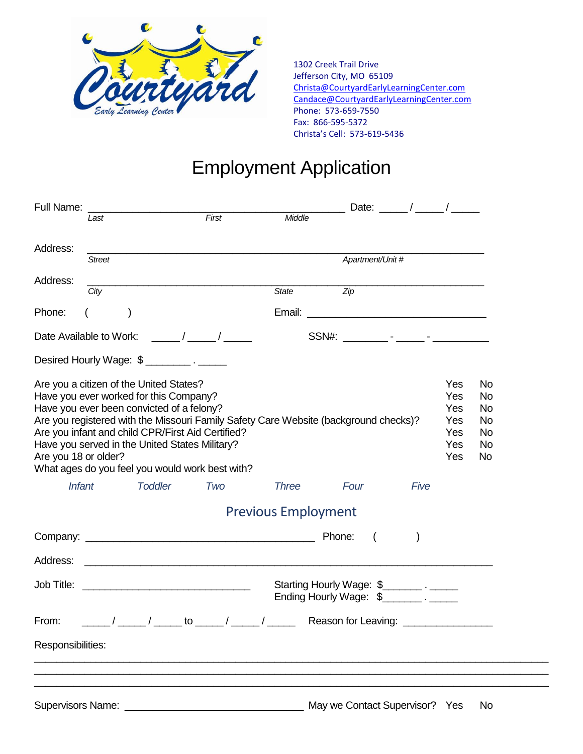

1302 Creek Trail Drive Jefferson City, MO 65109 [Christa@CourtyardEarlyLearningCenter.com](mailto:Christa@CourtyardEarlyLearningCenter.com) [Candace@CourtyardEarlyLearningCenter.com](mailto:Candace@CourtyardEarlyLearningCenter.com) Phone: 573-659-7550 Fax: 866-595-5372 Christa's Cell: 573-619-5436

## Employment Application

| Full Name:             |               |                                                                                                                                                                                  |                                                                                                      |                                                                                      |                                                                          | Date: $\frac{\ }{\ }$ / _______ / ________ /                                              |                                               |                                                             |
|------------------------|---------------|----------------------------------------------------------------------------------------------------------------------------------------------------------------------------------|------------------------------------------------------------------------------------------------------|--------------------------------------------------------------------------------------|--------------------------------------------------------------------------|-------------------------------------------------------------------------------------------|-----------------------------------------------|-------------------------------------------------------------|
|                        | Last          |                                                                                                                                                                                  | First                                                                                                | Middle                                                                               |                                                                          |                                                                                           |                                               |                                                             |
| Address:               | <b>Street</b> |                                                                                                                                                                                  |                                                                                                      |                                                                                      | Apartment/Unit #                                                         |                                                                                           |                                               |                                                             |
| Address:               |               |                                                                                                                                                                                  |                                                                                                      |                                                                                      |                                                                          | the control of the control of the control of the control of the control of the control of |                                               |                                                             |
|                        | City          |                                                                                                                                                                                  |                                                                                                      | State                                                                                | $\overline{Z}$ ip                                                        |                                                                                           |                                               |                                                             |
| Phone:                 |               |                                                                                                                                                                                  |                                                                                                      | Email:                                                                               | <u> 2000 - Jan James James Barnett, amerikansk politik (</u>             |                                                                                           |                                               |                                                             |
|                        |               |                                                                                                                                                                                  |                                                                                                      |                                                                                      |                                                                          |                                                                                           |                                               |                                                             |
|                        |               | Desired Hourly Wage: \$ __________. _______                                                                                                                                      |                                                                                                      |                                                                                      |                                                                          |                                                                                           |                                               |                                                             |
| Are you 18 or older?   |               | Are you a citizen of the United States?<br>Have you ever worked for this Company?<br>Have you ever been convicted of a felony?<br>Have you served in the United States Military? | Are you infant and child CPR/First Aid Certified?<br>What ages do you feel you would work best with? | Are you registered with the Missouri Family Safety Care Website (background checks)? |                                                                          |                                                                                           | Yes<br>Yes<br>Yes<br>Yes<br>Yes<br>Yes<br>Yes | No<br><b>No</b><br><b>No</b><br>No<br>No<br>No<br><b>No</b> |
| <b>Infant</b>          |               | <b>Toddler</b>                                                                                                                                                                   | Two                                                                                                  | <b>Three</b>                                                                         | Four                                                                     | Five                                                                                      |                                               |                                                             |
|                        |               |                                                                                                                                                                                  |                                                                                                      | <b>Previous Employment</b>                                                           |                                                                          |                                                                                           |                                               |                                                             |
|                        |               |                                                                                                                                                                                  |                                                                                                      |                                                                                      | $\sqrt{2}$                                                               |                                                                                           |                                               |                                                             |
|                        |               |                                                                                                                                                                                  |                                                                                                      |                                                                                      |                                                                          |                                                                                           |                                               |                                                             |
|                        |               |                                                                                                                                                                                  |                                                                                                      |                                                                                      | Starting Hourly Wage: \$<br>Ending Hourly Wage: \$____________. ________ |                                                                                           |                                               |                                                             |
| From:                  |               |                                                                                                                                                                                  |                                                                                                      |                                                                                      | Reason for Leaving:                                                      |                                                                                           |                                               |                                                             |
| Responsibilities:      |               |                                                                                                                                                                                  |                                                                                                      |                                                                                      |                                                                          |                                                                                           |                                               |                                                             |
|                        |               |                                                                                                                                                                                  |                                                                                                      |                                                                                      |                                                                          |                                                                                           |                                               |                                                             |
|                        |               |                                                                                                                                                                                  |                                                                                                      |                                                                                      |                                                                          |                                                                                           |                                               |                                                             |
| Supervisors Name: ____ |               |                                                                                                                                                                                  |                                                                                                      |                                                                                      | May we Contact Supervisor? Yes                                           |                                                                                           |                                               | No                                                          |